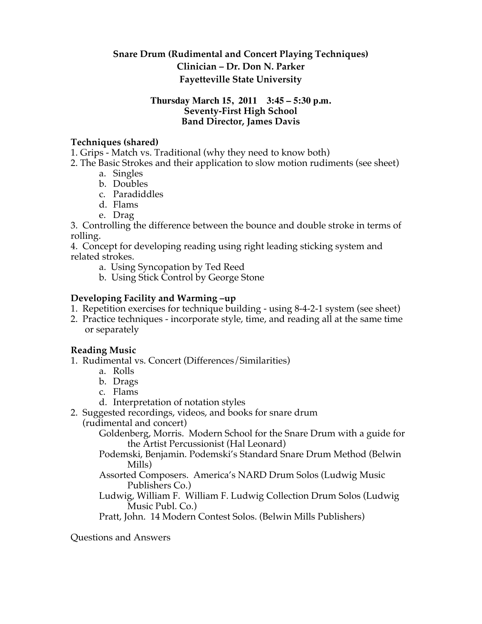# **Snare Drum (Rudimental and Concert Playing Techniques) Clinician – Dr. Don N. Parker Fayetteville State University**

#### **Thursday March 15, 2011 3:45 – 5:30 p.m. Seventy-First High School Band Director, James Davis**

### **Techniques (shared)**

1. Grips - Match vs. Traditional (why they need to know both)

- 2. The Basic Strokes and their application to slow motion rudiments (see sheet)
	- a. Singles
	- b. Doubles
	- c. Paradiddles
	- d. Flams
	- e. Drag

3. Controlling the difference between the bounce and double stroke in terms of rolling.

4. Concept for developing reading using right leading sticking system and related strokes.

- a. Using Syncopation by Ted Reed
- b. Using Stick Control by George Stone

## **Developing Facility and Warming –up**

- 1. Repetition exercises for technique building using 8-4-2-1 system (see sheet)
- 2. Practice techniques incorporate style, time, and reading all at the same time or separately

## **Reading Music**

- 1. Rudimental vs. Concert (Differences/Similarities)
	- a. Rolls
	- b. Drags
	- c. Flams
	- d. Interpretation of notation styles

2. Suggested recordings, videos, and books for snare drum

(rudimental and concert)

Goldenberg, Morris. Modern School for the Snare Drum with a guide for the Artist Percussionist (Hal Leonard)

Podemski, Benjamin. Podemski's Standard Snare Drum Method (Belwin Mills)

- Assorted Composers. America's NARD Drum Solos (Ludwig Music Publishers Co.)
- Ludwig, William F. William F. Ludwig Collection Drum Solos (Ludwig Music Publ. Co.)

Pratt, John. 14 Modern Contest Solos. (Belwin Mills Publishers)

Questions and Answers